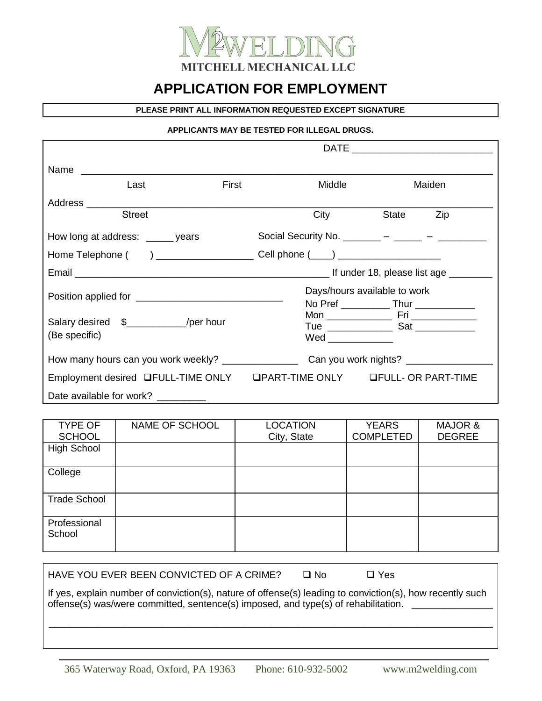

# **APPLICATION FOR EMPLOYMENT**

#### **PLEASE PRINT ALL INFORMATION REQUESTED EXCEPT SIGNATURE**

#### **APPLICANTS MAY BE TESTED FOR ILLEGAL DRUGS.**

| Last                                                                                                            | First | Middle                                                                                              |       | Maiden |
|-----------------------------------------------------------------------------------------------------------------|-------|-----------------------------------------------------------------------------------------------------|-------|--------|
| Address and the contract of the contract of the contract of the contract of the contract of the contract of the |       |                                                                                                     |       |        |
| <b>Street</b>                                                                                                   |       | City                                                                                                | State | Zip    |
| How long at address: _____ years                                                                                |       | Social Security No. ________ – _____ – ______ –                                                     |       |        |
|                                                                                                                 |       | Cell phone $(\_\_\_)$ ________________________                                                      |       |        |
|                                                                                                                 |       |                                                                                                     |       |        |
|                                                                                                                 |       | Days/hours available to work                                                                        |       |        |
|                                                                                                                 |       | No Pref _______________ Thur ________________                                                       |       |        |
| Salary desired \$_____________/per hour                                                                         |       |                                                                                                     |       |        |
| (Be specific)                                                                                                   |       | $Wed$ _______________                                                                               |       |        |
|                                                                                                                 |       | How many hours can you work weekly? ______________________Can you work nights? ____________________ |       |        |
| Employment desired QFULL-TIME ONLY QPART-TIME ONLY QFULL- OR PART-TIME                                          |       |                                                                                                     |       |        |
| Date available for work? _________                                                                              |       |                                                                                                     |       |        |

| <b>TYPE OF</b><br><b>SCHOOL</b> | NAME OF SCHOOL | <b>LOCATION</b><br>City, State | <b>YEARS</b><br><b>COMPLETED</b> | MAJOR &<br><b>DEGREE</b> |
|---------------------------------|----------------|--------------------------------|----------------------------------|--------------------------|
| <b>High School</b>              |                |                                |                                  |                          |
| College                         |                |                                |                                  |                          |
| <b>Trade School</b>             |                |                                |                                  |                          |
| Professional<br>School          |                |                                |                                  |                          |

HAVE YOU EVER BEEN CONVICTED OF A CRIME? Q No Q Yes

If yes, explain number of conviction(s), nature of offense(s) leading to conviction(s), how recently such offense(s) was/were committed, sentence(s) imposed, and type(s) of rehabilitation. \_\_\_\_\_\_\_\_\_\_\_\_\_\_\_\_

\_\_\_\_\_\_\_\_\_\_\_\_\_\_\_\_\_\_\_\_\_\_\_\_\_\_\_\_\_\_\_\_\_\_\_\_\_\_\_\_\_\_\_\_\_\_\_\_\_\_\_\_\_\_\_\_\_\_\_\_\_\_\_\_\_\_\_\_\_\_\_\_\_\_\_\_\_\_\_\_\_\_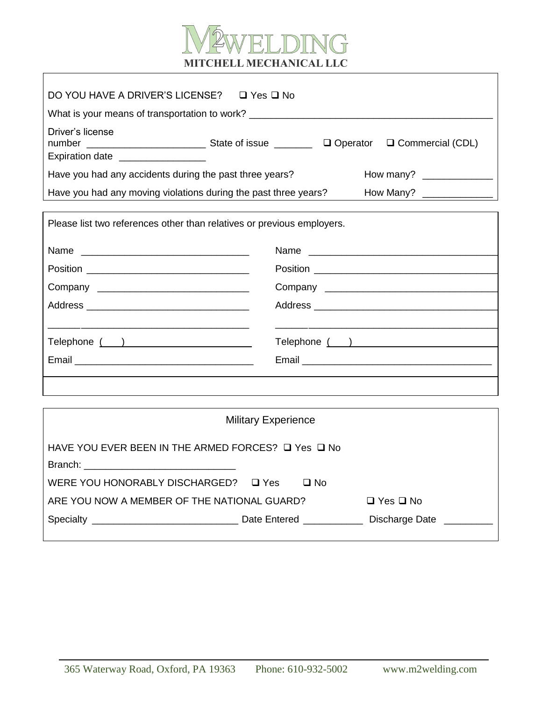

ヿ

| DO YOU HAVE A DRIVER'S LICENSE? □ Yes □ No                                       |                                                                     |  |               |  |
|----------------------------------------------------------------------------------|---------------------------------------------------------------------|--|---------------|--|
| What is your means of transportation to work? __________________________________ |                                                                     |  |               |  |
| Driver's license<br>Expiration date ___________________                          |                                                                     |  |               |  |
| Have you had any accidents during the past three years?                          |                                                                     |  |               |  |
|                                                                                  |                                                                     |  |               |  |
| Have you had any moving violations during the past three years?                  |                                                                     |  |               |  |
| Please list two references other than relatives or previous employers.           |                                                                     |  |               |  |
|                                                                                  |                                                                     |  |               |  |
|                                                                                  |                                                                     |  |               |  |
|                                                                                  |                                                                     |  |               |  |
|                                                                                  |                                                                     |  |               |  |
| Telephone ( )                                                                    |                                                                     |  | Telephone ( ) |  |
|                                                                                  |                                                                     |  |               |  |
|                                                                                  |                                                                     |  |               |  |
|                                                                                  |                                                                     |  |               |  |
|                                                                                  |                                                                     |  |               |  |
| <b>Military Experience</b>                                                       |                                                                     |  |               |  |
| HAVE YOU EVER BEEN IN THE ARMED FORCES? □ Yes □ No                               |                                                                     |  |               |  |
|                                                                                  |                                                                     |  |               |  |
| WERE YOU HONORABLY DISCHARGED? Q Yes<br>$\square$ No                             |                                                                     |  |               |  |
|                                                                                  | ARE YOU NOW A MEMBER OF THE NATIONAL GUARD?<br>$\Box$ Yes $\Box$ No |  |               |  |
|                                                                                  |                                                                     |  |               |  |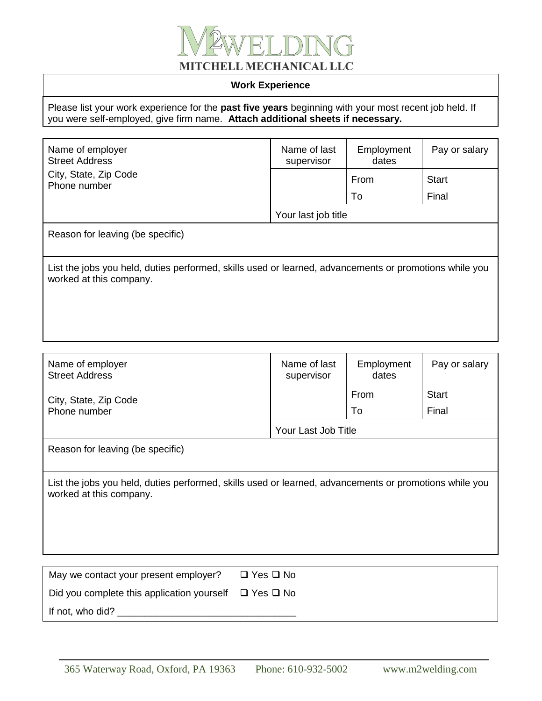

### **Work Experience**

Please list your work experience for the **past five years** beginning with your most recent job held. If you were self-employed, give firm name. **Attach additional sheets if necessary.**

| Name of employer<br><b>Street Address</b><br>City, State, Zip Code<br>Phone number                                                | Name of last<br>supervisor | Employment<br>dates | Pay or salary |  |
|-----------------------------------------------------------------------------------------------------------------------------------|----------------------------|---------------------|---------------|--|
|                                                                                                                                   |                            | From                | <b>Start</b>  |  |
|                                                                                                                                   |                            | To                  | Final         |  |
|                                                                                                                                   | Your last job title        |                     |               |  |
| Reason for leaving (be specific)                                                                                                  |                            |                     |               |  |
| List the jobs you held, duties performed, skills used or learned, advancements or promotions while you<br>worked at this company. |                            |                     |               |  |
|                                                                                                                                   |                            |                     |               |  |

| Name of employer<br><b>Street Address</b>                                                                                         | Name of last<br>supervisor | Employment<br>dates | Pay or salary |  |
|-----------------------------------------------------------------------------------------------------------------------------------|----------------------------|---------------------|---------------|--|
| City, State, Zip Code                                                                                                             |                            | From                | <b>Start</b>  |  |
| Phone number                                                                                                                      |                            | To                  | Final         |  |
|                                                                                                                                   | Your Last Job Title        |                     |               |  |
| Reason for leaving (be specific)                                                                                                  |                            |                     |               |  |
|                                                                                                                                   |                            |                     |               |  |
| List the jobs you held, duties performed, skills used or learned, advancements or promotions while you<br>worked at this company. |                            |                     |               |  |
|                                                                                                                                   |                            |                     |               |  |
|                                                                                                                                   |                            |                     |               |  |
|                                                                                                                                   |                            |                     |               |  |
|                                                                                                                                   |                            |                     |               |  |
| May we contact your present employer?                                                                                             | $\Box$ Yes $\Box$ No       |                     |               |  |
| Did you complete this application yourself                                                                                        | $\Box$ Yes $\Box$ No       |                     |               |  |

If not, who did? \_\_\_\_\_\_\_\_\_\_\_\_\_\_\_\_\_\_\_\_\_\_\_\_\_\_\_\_\_\_\_\_\_